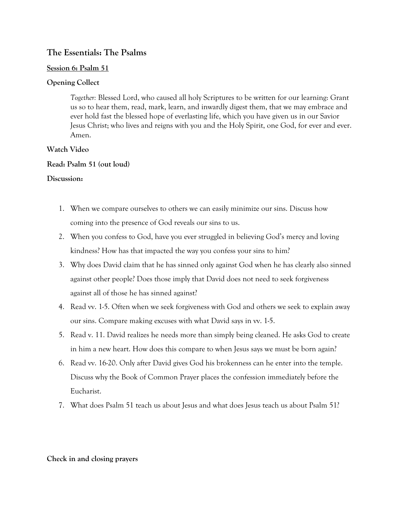# **The Essentials: The Psalms**

## **Session 6: Psalm 51**

## **Opening Collect**

*Together:* Blessed Lord, who caused all holy Scriptures to be written for our learning: Grant us so to hear them, read, mark, learn, and inwardly digest them, that we may embrace and ever hold fast the blessed hope of everlasting life, which you have given us in our Savior Jesus Christ; who lives and reigns with you and the Holy Spirit, one God, for ever and ever. Amen.

## **Watch Video**

## **Read: Psalm 51 (out loud)**

## **Discussion:**

- 1. When we compare ourselves to others we can easily minimize our sins. Discuss how coming into the presence of God reveals our sins to us.
- 2. When you confess to God, have you ever struggled in believing God's mercy and loving kindness? How has that impacted the way you confess your sins to him?
- 3. Why does David claim that he has sinned only against God when he has clearly also sinned against other people? Does those imply that David does not need to seek forgiveness against all of those he has sinned against?
- 4. Read vv. 1-5. Often when we seek forgiveness with God and others we seek to explain away our sins. Compare making excuses with what David says in vv. 1-5.
- 5. Read v. 11. David realizes he needs more than simply being cleaned. He asks God to create in him a new heart. How does this compare to when Jesus says we must be born again?
- 6. Read vv. 16-20. Only after David gives God his brokenness can he enter into the temple. Discuss why the Book of Common Prayer places the confession immediately before the Eucharist.
- 7. What does Psalm 51 teach us about Jesus and what does Jesus teach us about Psalm 51?

#### **Check in and closing prayers**